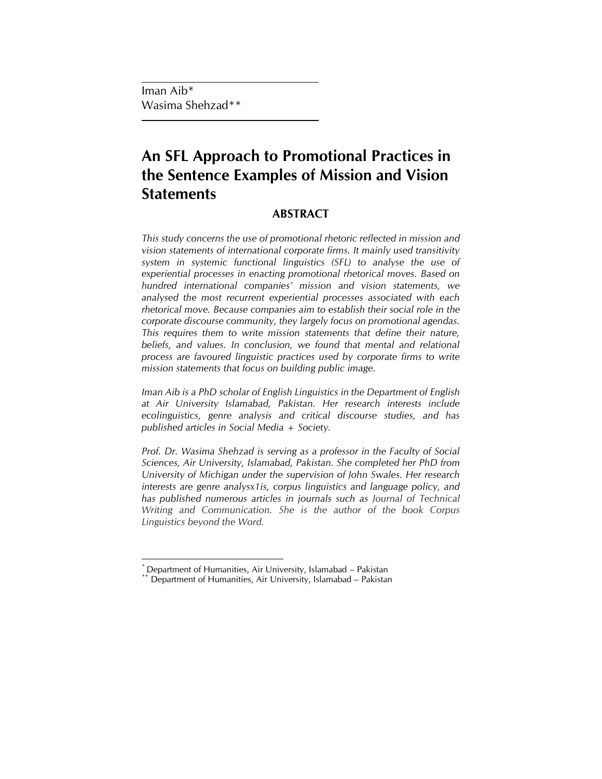Iman Aib\* Wasima Shehzad\*\*

# **An SFL Approach to Promotional Practices in the Sentence Examples of Mission and Vision Statements**

# **ABSTRACT**

*This study concerns the use of promotional rhetoric reflected in mission and vision statements of international corporate firms. It mainly used transitivity system in systemic functional linguistics (SFL) to analyse the use of experiential processes in enacting promotional rhetorical moves. Based on hundred international companies' mission and vision statements, we analysed the most recurrent experiential processes associated with each rhetorical move. Because companies aim to establish their social role in the corporate discourse community, they largely focus on promotional agendas. This requires them to write mission statements that define their nature,*  beliefs, and values. In conclusion, we found that mental and relational *process are favoured linguistic practices used by corporate firms to write mission statements that focus on building public image.* 

*Iman Aib is a PhD scholar of English Linguistics in the Department of English at Air University Islamabad, Pakistan. Her research interests include ecolinguistics, genre analysis and critical discourse studies, and has published articles in Social Media + Society.* 

*Prof. Dr. Wasima Shehzad is serving as a professor in the Faculty of Social Sciences, Air University, Islamabad, Pakistan. She completed her PhD from University of Michigan under the supervision of John Swales. Her research interests are genre analysx1is, corpus linguistics and language policy, and has published numerous articles in journals such as Journal of Technical Writing and Communication. She is the author of the book Corpus Linguistics beyond the Word.*

 $\overline{\phantom{a}}$ *\** Department of Humanities, Air University, Islamabad – Pakistan

Department of Humanities, Air University, Islamabad – Pakistan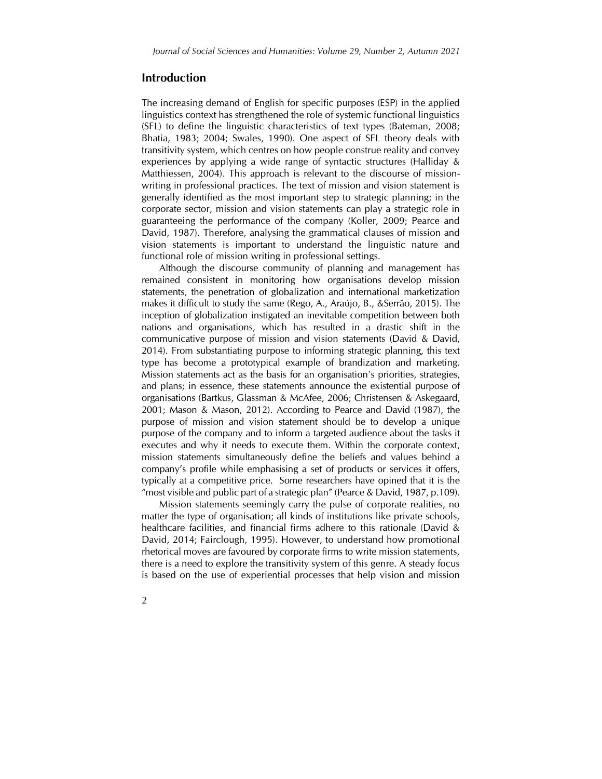## **Introduction**

The increasing demand of English for specific purposes (ESP) in the applied linguistics context has strengthened the role of systemic functional linguistics (SFL) to define the linguistic characteristics of text types (Bateman, 2008; Bhatia, 1983; 2004; Swales, 1990). One aspect of SFL theory deals with transitivity system, which centres on how people construe reality and convey experiences by applying a wide range of syntactic structures (Halliday & Matthiessen, 2004). This approach is relevant to the discourse of missionwriting in professional practices. The text of mission and vision statement is generally identified as the most important step to strategic planning; in the corporate sector, mission and vision statements can play a strategic role in guaranteeing the performance of the company (Koller, 2009; Pearce and David, 1987). Therefore, analysing the grammatical clauses of mission and vision statements is important to understand the linguistic nature and functional role of mission writing in professional settings.

Although the discourse community of planning and management has remained consistent in monitoring how organisations develop mission statements, the penetration of globalization and international marketization makes it difficult to study the same (Rego, A., Araújo, B., &Serrão, 2015). The inception of globalization instigated an inevitable competition between both nations and organisations, which has resulted in a drastic shift in the communicative purpose of mission and vision statements (David & David, 2014). From substantiating purpose to informing strategic planning, this text type has become a prototypical example of brandization and marketing. Mission statements act as the basis for an organisation's priorities, strategies, and plans; in essence, these statements announce the existential purpose of organisations (Bartkus, Glassman & McAfee, 2006; Christensen & Askegaard, 2001; Mason & Mason, 2012). According to Pearce and David (1987), the purpose of mission and vision statement should be to develop a unique purpose of the company and to inform a targeted audience about the tasks it executes and why it needs to execute them. Within the corporate context, mission statements simultaneously define the beliefs and values behind a company's profile while emphasising a set of products or services it offers, typically at a competitive price. Some researchers have opined that it is the "most visible and public part of a strategic plan" (Pearce & David, 1987, p.109).

Mission statements seemingly carry the pulse of corporate realities, no matter the type of organisation; all kinds of institutions like private schools, healthcare facilities, and financial firms adhere to this rationale (David & David, 2014; Fairclough, 1995). However, to understand how promotional rhetorical moves are favoured by corporate firms to write mission statements, there is a need to explore the transitivity system of this genre. A steady focus is based on the use of experiential processes that help vision and mission

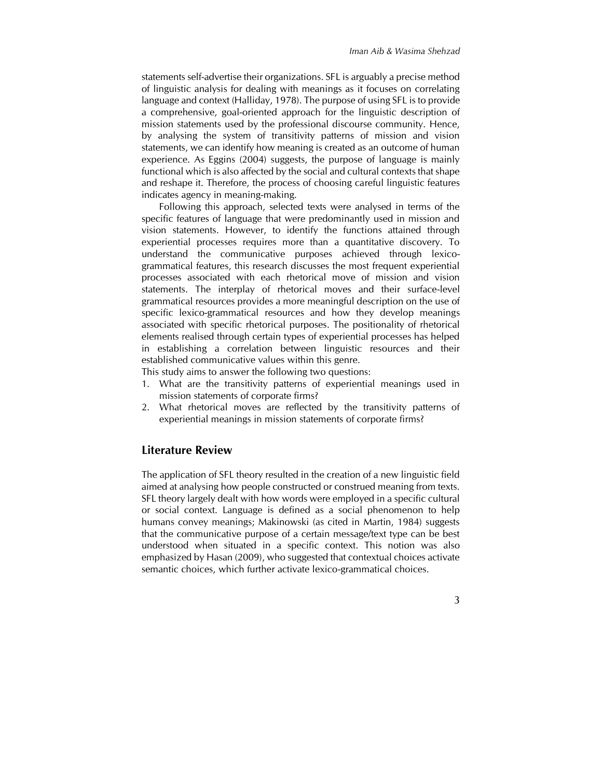statements self-advertise their organizations. SFL is arguably a precise method of linguistic analysis for dealing with meanings as it focuses on correlating language and context (Halliday, 1978). The purpose of using SFL is to provide a comprehensive, goal-oriented approach for the linguistic description of mission statements used by the professional discourse community. Hence, by analysing the system of transitivity patterns of mission and vision statements, we can identify how meaning is created as an outcome of human experience. As Eggins (2004) suggests, the purpose of language is mainly functional which is also affected by the social and cultural contexts that shape and reshape it. Therefore, the process of choosing careful linguistic features indicates agency in meaning-making.

Following this approach, selected texts were analysed in terms of the specific features of language that were predominantly used in mission and vision statements. However, to identify the functions attained through experiential processes requires more than a quantitative discovery. To understand the communicative purposes achieved through lexicogrammatical features, this research discusses the most frequent experiential processes associated with each rhetorical move of mission and vision statements. The interplay of rhetorical moves and their surface-level grammatical resources provides a more meaningful description on the use of specific lexico-grammatical resources and how they develop meanings associated with specific rhetorical purposes. The positionality of rhetorical elements realised through certain types of experiential processes has helped in establishing a correlation between linguistic resources and their established communicative values within this genre.

This study aims to answer the following two questions:

- 1. What are the transitivity patterns of experiential meanings used in mission statements of corporate firms?
- 2. What rhetorical moves are reflected by the transitivity patterns of experiential meanings in mission statements of corporate firms?

# **Literature Review**

The application of SFL theory resulted in the creation of a new linguistic field aimed at analysing how people constructed or construed meaning from texts. SFL theory largely dealt with how words were employed in a specific cultural or social context. Language is defined as a social phenomenon to help humans convey meanings; Makinowski (as cited in Martin, 1984) suggests that the communicative purpose of a certain message/text type can be best understood when situated in a specific context. This notion was also emphasized by Hasan (2009), who suggested that contextual choices activate semantic choices, which further activate lexico-grammatical choices.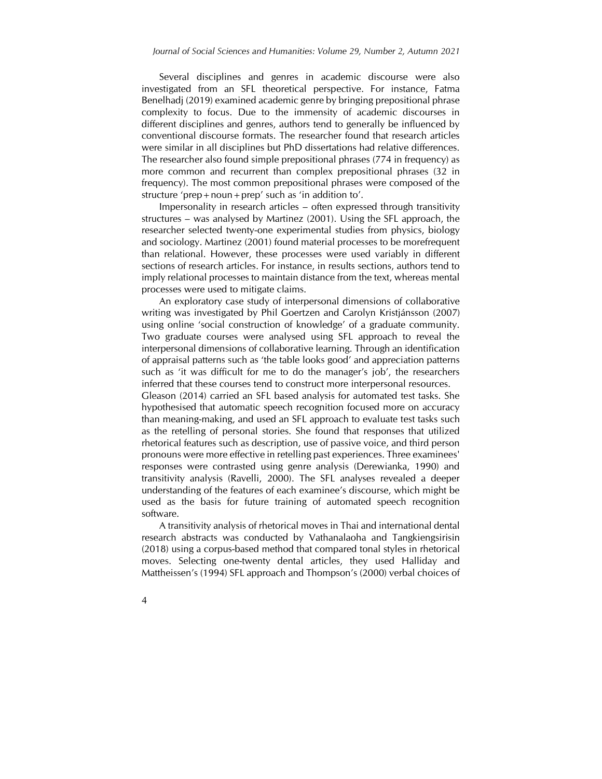Several disciplines and genres in academic discourse were also investigated from an SFL theoretical perspective. For instance, Fatma Benelhadj (2019) examined academic genre by bringing prepositional phrase complexity to focus. Due to the immensity of academic discourses in different disciplines and genres, authors tend to generally be influenced by conventional discourse formats. The researcher found that research articles were similar in all disciplines but PhD dissertations had relative differences. The researcher also found simple prepositional phrases (774 in frequency) as more common and recurrent than complex prepositional phrases (32 in frequency). The most common prepositional phrases were composed of the structure 'prep+noun+prep' such as 'in addition to'.

Impersonality in research articles – often expressed through transitivity structures – was analysed by Martinez (2001). Using the SFL approach, the researcher selected twenty-one experimental studies from physics, biology and sociology. Martinez (2001) found material processes to be morefrequent than relational. However, these processes were used variably in different sections of research articles. For instance, in results sections, authors tend to imply relational processes to maintain distance from the text, whereas mental processes were used to mitigate claims.

An exploratory case study of interpersonal dimensions of collaborative writing was investigated by Phil Goertzen and Carolyn Kristjánsson (2007) using online 'social construction of knowledge' of a graduate community. Two graduate courses were analysed using SFL approach to reveal the interpersonal dimensions of collaborative learning. Through an identification of appraisal patterns such as 'the table looks good' and appreciation patterns such as 'it was difficult for me to do the manager's job', the researchers inferred that these courses tend to construct more interpersonal resources.

Gleason (2014) carried an SFL based analysis for automated test tasks. She hypothesised that automatic speech recognition focused more on accuracy than meaning-making, and used an SFL approach to evaluate test tasks such as the retelling of personal stories. She found that responses that utilized rhetorical features such as description, use of passive voice, and third person pronouns were more effective in retelling past experiences. Three examinees' responses were contrasted using genre analysis (Derewianka, 1990) and transitivity analysis (Ravelli, 2000). The SFL analyses revealed a deeper understanding of the features of each examinee's discourse, which might be used as the basis for future training of automated speech recognition software.

A transitivity analysis of rhetorical moves in Thai and international dental research abstracts was conducted by Vathanalaoha and Tangkiengsirisin (2018) using a corpus-based method that compared tonal styles in rhetorical moves. Selecting one-twenty dental articles, they used Halliday and Mattheissen's (1994) SFL approach and Thompson's (2000) verbal choices of

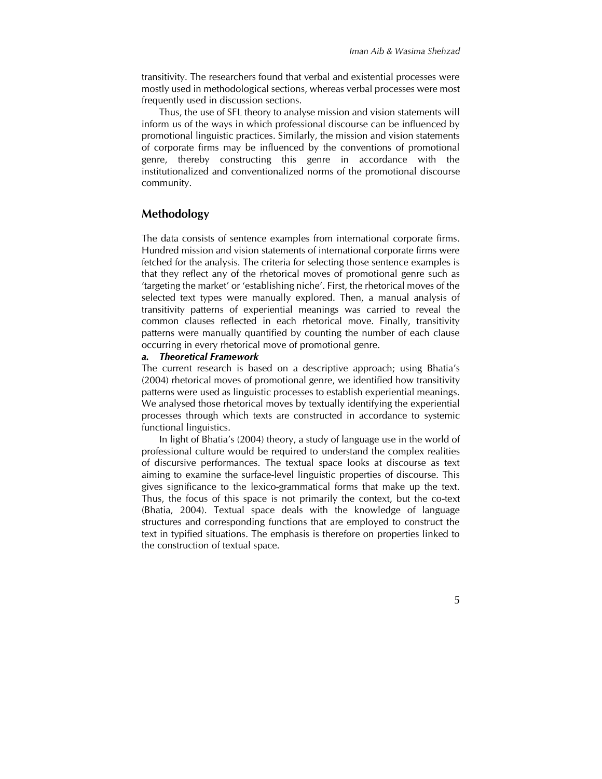transitivity. The researchers found that verbal and existential processes were mostly used in methodological sections, whereas verbal processes were most frequently used in discussion sections.

Thus, the use of SFL theory to analyse mission and vision statements will inform us of the ways in which professional discourse can be influenced by promotional linguistic practices. Similarly, the mission and vision statements of corporate firms may be influenced by the conventions of promotional genre, thereby constructing this genre in accordance with the institutionalized and conventionalized norms of the promotional discourse community.

# **Methodology**

The data consists of sentence examples from international corporate firms. Hundred mission and vision statements of international corporate firms were fetched for the analysis. The criteria for selecting those sentence examples is that they reflect any of the rhetorical moves of promotional genre such as 'targeting the market' or 'establishing niche'. First, the rhetorical moves of the selected text types were manually explored. Then, a manual analysis of transitivity patterns of experiential meanings was carried to reveal the common clauses reflected in each rhetorical move. Finally, transitivity patterns were manually quantified by counting the number of each clause occurring in every rhetorical move of promotional genre.

#### *a. Theoretical Framework*

The current research is based on a descriptive approach; using Bhatia's (2004) rhetorical moves of promotional genre, we identified how transitivity patterns were used as linguistic processes to establish experiential meanings. We analysed those rhetorical moves by textually identifying the experiential processes through which texts are constructed in accordance to systemic functional linguistics.

In light of Bhatia's (2004) theory, a study of language use in the world of professional culture would be required to understand the complex realities of discursive performances. The textual space looks at discourse as text aiming to examine the surface-level linguistic properties of discourse. This gives significance to the lexico-grammatical forms that make up the text. Thus, the focus of this space is not primarily the context, but the co-text (Bhatia, 2004). Textual space deals with the knowledge of language structures and corresponding functions that are employed to construct the text in typified situations. The emphasis is therefore on properties linked to the construction of textual space.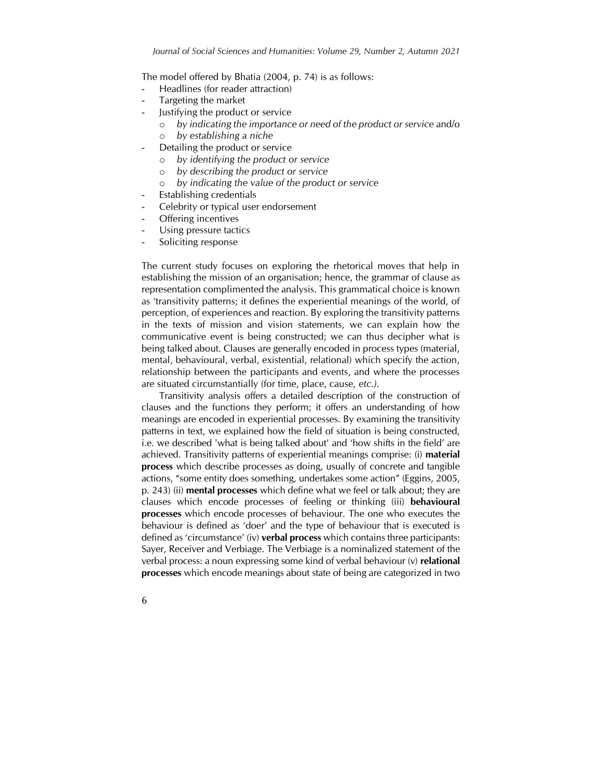The model offered by Bhatia (2004, p. 74) is as follows:

- Headlines (for reader attraction)
- Targeting the market
- Justifying the product or service
	- o *by indicating the importance or need of the product or service* and/o
	- o *by establishing a niche*
- Detailing the product or service
	- o *by identifying the product or service*
	- o *by describing the product or service*
	- o *by indicating the value of the product or service*
- Establishing credentials
- Celebrity or typical user endorsement
- Offering incentives
- Using pressure tactics
- Soliciting response

The current study focuses on exploring the rhetorical moves that help in establishing the mission of an organisation; hence, the grammar of clause as representation complimented the analysis. This grammatical choice is known as 'transitivity patterns; it defines the experiential meanings of the world, of perception, of experiences and reaction. By exploring the transitivity patterns in the texts of mission and vision statements, we can explain how the communicative event is being constructed; we can thus decipher what is being talked about. Clauses are generally encoded in process types (material, mental, behavioural, verbal, existential, relational) which specify the action, relationship between the participants and events, and where the processes are situated circumstantially (for time, place, cause, *etc.).* 

Transitivity analysis offers a detailed description of the construction of clauses and the functions they perform; it offers an understanding of how meanings are encoded in experiential processes. By examining the transitivity patterns in text, we explained how the field of situation is being constructed, i.e. we described 'what is being talked about' and 'how shifts in the field' are achieved. Transitivity patterns of experiential meanings comprise: (i) **material process** which describe processes as doing, usually of concrete and tangible actions, "some entity does something, undertakes some action" (Eggins, 2005, p. 243) (ii) **mental processes** which define what we feel or talk about; they are clauses which encode processes of feeling or thinking (iii) **behavioural processes** which encode processes of behaviour. The one who executes the behaviour is defined as 'doer' and the type of behaviour that is executed is defined as 'circumstance' (iv) **verbal process** which contains three participants: Sayer, Receiver and Verbiage. The Verbiage is a nominalized statement of the verbal process: a noun expressing some kind of verbal behaviour (v) **relational processes** which encode meanings about state of being are categorized in two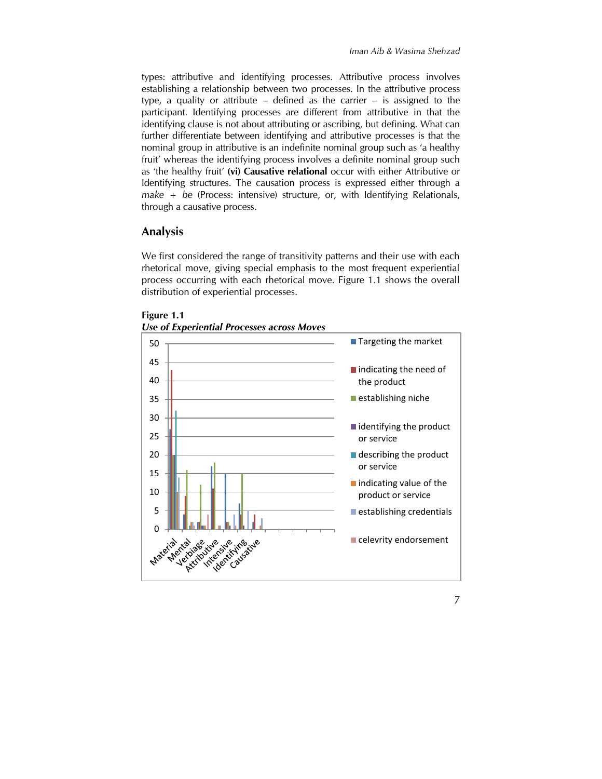types: attributive and identifying processes. Attributive process involves establishing a relationship between two processes. In the attributive process type, a quality or attribute – defined as the carrier – is assigned to the participant. Identifying processes are different from attributive in that the identifying clause is not about attributing or ascribing, but defining. What can further differentiate between identifying and attributive processes is that the nominal group in attributive is an indefinite nominal group such as 'a healthy fruit' whereas the identifying process involves a definite nominal group such as 'the healthy fruit' **(vi) Causative relational** occur with either Attributive or Identifying structures. The causation process is expressed either through a *make* + *be* (Process: intensive) structure, or, with Identifying Relationals, through a causative process.

# **Analysis**

We first considered the range of transitivity patterns and their use with each rhetorical move, giving special emphasis to the most frequent experiential process occurring with each rhetorical move. Figure 1.1 shows the overall distribution of experiential processes.



**Figure 1.1** *Use of Experiential Processes across Moves*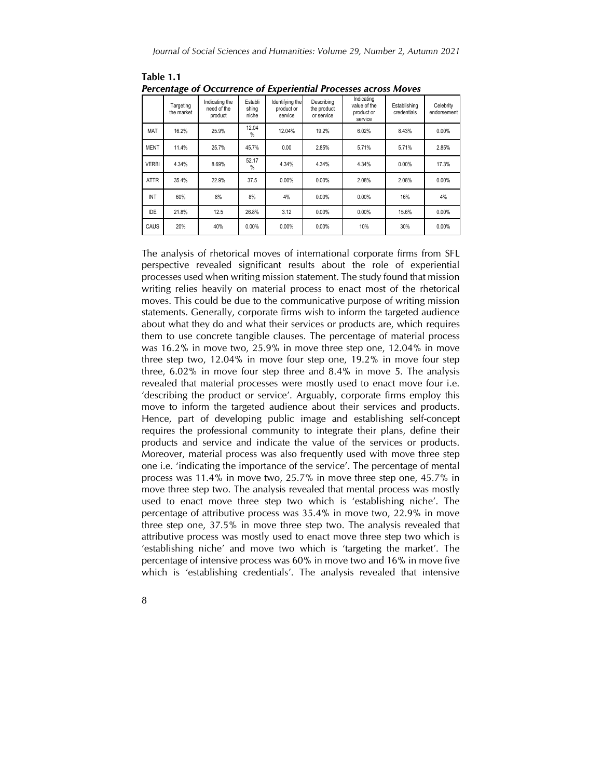|              | Targeting<br>the market | Indicating the<br>need of the<br>product | Establi<br>shing<br>niche | Identifying the<br>product or<br>service | Describing<br>the product<br>or service | Indicating<br>value of the<br>product or<br>service | Establishing<br>credentials | Celebrity<br>endorsement |
|--------------|-------------------------|------------------------------------------|---------------------------|------------------------------------------|-----------------------------------------|-----------------------------------------------------|-----------------------------|--------------------------|
| MAT          | 16.2%                   | 25.9%                                    | 12.04<br>$\frac{0}{0}$    | 12.04%                                   | 19.2%                                   | 6.02%                                               | 8.43%                       | 0.00%                    |
| <b>MENT</b>  | 11.4%                   | 25.7%                                    | 45.7%                     | 0.00                                     | 2.85%                                   | 5.71%                                               | 5.71%                       | 2.85%                    |
| <b>VERBI</b> | 4.34%                   | 8.69%                                    | 52.17<br>$\%$             | 4.34%                                    | 4.34%                                   | 4.34%                                               | 0.00%                       | 17.3%                    |
| <b>ATTR</b>  | 35.4%                   | 22.9%                                    | 37.5                      | 0.00%                                    | 0.00%                                   | 2.08%                                               | 2.08%                       | 0.00%                    |
| INT          | 60%                     | 8%                                       | 8%                        | 4%                                       | 0.00%                                   | 0.00%                                               | 16%                         | 4%                       |
| <b>IDE</b>   | 21.8%                   | 12.5                                     | 26.8%                     | 3.12                                     | 0.00%                                   | 0.00%                                               | 15.6%                       | 0.00%                    |
| <b>CAUS</b>  | 20%                     | 40%                                      | 0.00%                     | $0.00\%$                                 | 0.00%                                   | 10%                                                 | 30%                         | 0.00%                    |

**Table 1.1** *Percentage of Occurrence of Experiential Processes across Moves*

The analysis of rhetorical moves of international corporate firms from SFL perspective revealed significant results about the role of experiential processes used when writing mission statement. The study found that mission writing relies heavily on material process to enact most of the rhetorical moves. This could be due to the communicative purpose of writing mission statements. Generally, corporate firms wish to inform the targeted audience about what they do and what their services or products are, which requires them to use concrete tangible clauses. The percentage of material process was 16.2% in move two, 25.9% in move three step one, 12.04% in move three step two, 12.04% in move four step one, 19.2% in move four step three, 6.02% in move four step three and 8.4% in move 5. The analysis revealed that material processes were mostly used to enact move four i.e. 'describing the product or service'. Arguably, corporate firms employ this move to inform the targeted audience about their services and products. Hence, part of developing public image and establishing self-concept requires the professional community to integrate their plans, define their products and service and indicate the value of the services or products. Moreover, material process was also frequently used with move three step one i.e. 'indicating the importance of the service'. The percentage of mental process was 11.4% in move two, 25.7% in move three step one, 45.7% in move three step two. The analysis revealed that mental process was mostly used to enact move three step two which is 'establishing niche'. The percentage of attributive process was 35.4% in move two, 22.9% in move three step one, 37.5% in move three step two. The analysis revealed that attributive process was mostly used to enact move three step two which is 'establishing niche' and move two which is 'targeting the market'. The percentage of intensive process was 60% in move two and 16% in move five which is 'establishing credentials'. The analysis revealed that intensive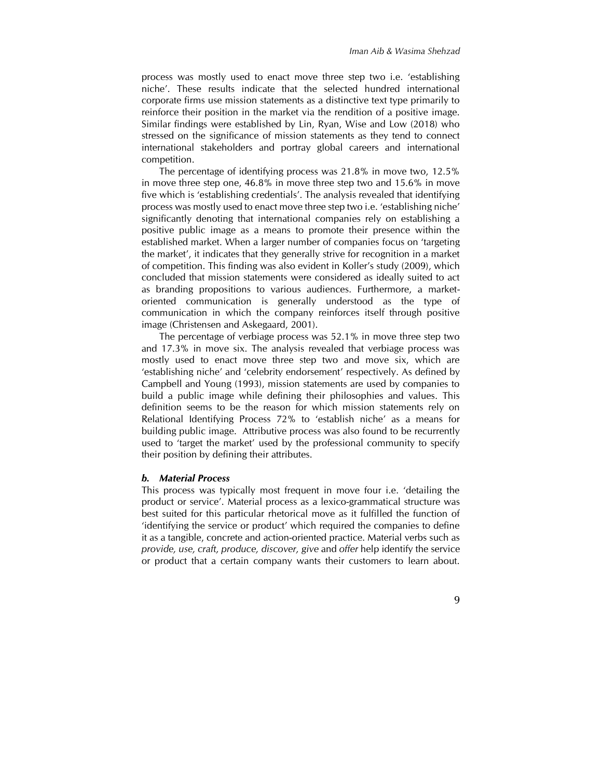process was mostly used to enact move three step two i.e. 'establishing niche'. These results indicate that the selected hundred international corporate firms use mission statements as a distinctive text type primarily to reinforce their position in the market via the rendition of a positive image. Similar findings were established by Lin, Ryan, Wise and Low (2018) who stressed on the significance of mission statements as they tend to connect international stakeholders and portray global careers and international competition.

The percentage of identifying process was 21.8% in move two, 12.5% in move three step one, 46.8% in move three step two and 15.6% in move five which is 'establishing credentials'. The analysis revealed that identifying process was mostly used to enact move three step two i.e. 'establishing niche' significantly denoting that international companies rely on establishing a positive public image as a means to promote their presence within the established market. When a larger number of companies focus on 'targeting the market', it indicates that they generally strive for recognition in a market of competition. This finding was also evident in Koller's study (2009), which concluded that mission statements were considered as ideally suited to act as branding propositions to various audiences. Furthermore, a marketoriented communication is generally understood as the type of communication in which the company reinforces itself through positive image (Christensen and Askegaard, 2001).

The percentage of verbiage process was 52.1% in move three step two and 17.3% in move six. The analysis revealed that verbiage process was mostly used to enact move three step two and move six, which are 'establishing niche' and 'celebrity endorsement' respectively. As defined by Campbell and Young (1993), mission statements are used by companies to build a public image while defining their philosophies and values. This definition seems to be the reason for which mission statements rely on Relational Identifying Process 72% to 'establish niche' as a means for building public image. Attributive process was also found to be recurrently used to 'target the market' used by the professional community to specify their position by defining their attributes.

#### *b. Material Process*

This process was typically most frequent in move four i.e. 'detailing the product or service'. Material process as a lexico-grammatical structure was best suited for this particular rhetorical move as it fulfilled the function of 'identifying the service or product' which required the companies to define it as a tangible, concrete and action-oriented practice. Material verbs such as *provide, use, craft, produce, discover, give* and *offer* help identify the service or product that a certain company wants their customers to learn about.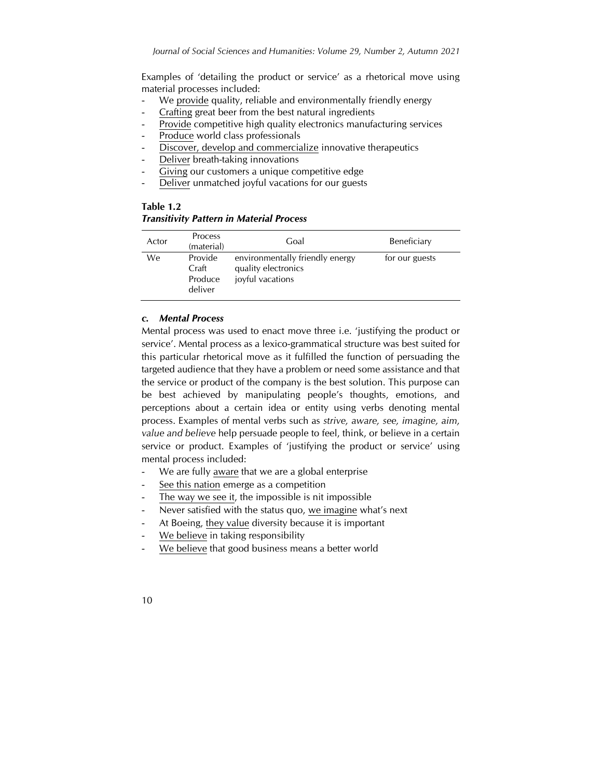Examples of 'detailing the product or service' as a rhetorical move using material processes included:

- We provide quality, reliable and environmentally friendly energy
- Crafting great beer from the best natural ingredients
- Provide competitive high quality electronics manufacturing services
- Produce world class professionals
- Discover, develop and commercialize innovative therapeutics
- Deliver breath-taking innovations
- Giving our customers a unique competitive edge
- Deliver unmatched joyful vacations for our guests

**Table 1.2** *Transitivity Pattern in Material Process*

| Actor | Process<br>(material)                  | Goal                                                                       | Beneficiary    |
|-------|----------------------------------------|----------------------------------------------------------------------------|----------------|
| We    | Provide<br>Craft<br>Produce<br>deliver | environmentally friendly energy<br>quality electronics<br>joyful vacations | for our guests |

## *c. Mental Process*

Mental process was used to enact move three i.e. 'justifying the product or service'. Mental process as a lexico-grammatical structure was best suited for this particular rhetorical move as it fulfilled the function of persuading the targeted audience that they have a problem or need some assistance and that the service or product of the company is the best solution. This purpose can be best achieved by manipulating people's thoughts, emotions, and perceptions about a certain idea or entity using verbs denoting mental process. Examples of mental verbs such as *strive, aware, see, imagine, aim, value and believe* help persuade people to feel, think, or believe in a certain service or product. Examples of 'justifying the product or service' using mental process included:

- We are fully aware that we are a global enterprise
- See this nation emerge as a competition
- The way we see it, the impossible is nit impossible
- Never satisfied with the status quo, we imagine what's next
- At Boeing, they value diversity because it is important
- We believe in taking responsibility
- We believe that good business means a better world
- 10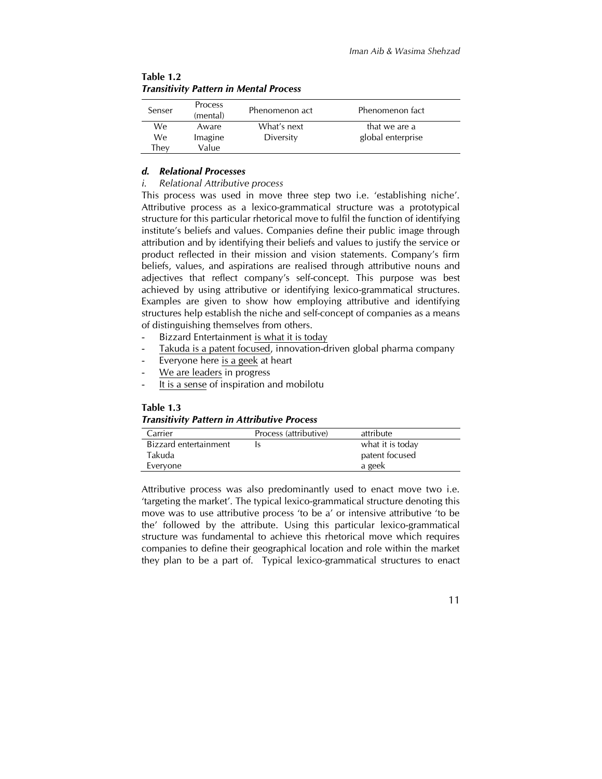| Senser | Process  | Phenomenon act | Phenomenon fact   |  |
|--------|----------|----------------|-------------------|--|
|        | (mental) |                |                   |  |
| We     | Aware    | What's next    | that we are a     |  |
| We.    | Imagine  | Diversity      | global enterprise |  |
| Thev   | Value    |                |                   |  |

**Table 1.2** *Transitivity Pattern in Mental Process*

#### *d. Relational Processes*

#### *i. Relational Attributive process*

This process was used in move three step two i.e. 'establishing niche'. Attributive process as a lexico-grammatical structure was a prototypical structure for this particular rhetorical move to fulfil the function of identifying institute's beliefs and values. Companies define their public image through attribution and by identifying their beliefs and values to justify the service or product reflected in their mission and vision statements. Company's firm beliefs, values, and aspirations are realised through attributive nouns and adjectives that reflect company's self-concept. This purpose was best achieved by using attributive or identifying lexico-grammatical structures. Examples are given to show how employing attributive and identifying structures help establish the niche and self-concept of companies as a means of distinguishing themselves from others.

- Bizzard Entertainment is what it is today
- Takuda is a patent focused, innovation-driven global pharma company
- Everyone here is a geek at heart
- We are leaders in progress
- It is a sense of inspiration and mobilotu

#### **Table 1.3**

#### *Transitivity Pattern in Attributive Process*

| Carrier               | Process (attributive) | attribute        |
|-----------------------|-----------------------|------------------|
| Bizzard entertainment |                       | what it is today |
| Takuda                |                       | patent focused   |
| Everyone              |                       | a geek           |

Attributive process was also predominantly used to enact move two i.e. 'targeting the market'. The typical lexico-grammatical structure denoting this move was to use attributive process 'to be a' or intensive attributive 'to be the' followed by the attribute. Using this particular lexico-grammatical structure was fundamental to achieve this rhetorical move which requires companies to define their geographical location and role within the market they plan to be a part of. Typical lexico-grammatical structures to enact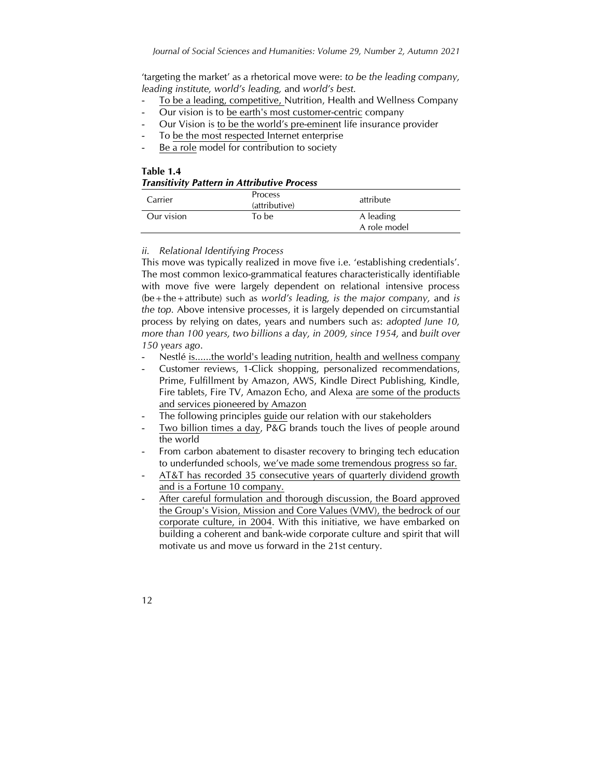'targeting the market' as a rhetorical move were: *to be the leading company, leading institute, world's leading,* and *world's best.*

- To be a leading, competitive, Nutrition, Health and Wellness Company
- Our vision is to be earth's most customer-centric company
- Our Vision is to be the world's pre-eminent life insurance provider
- To be the most respected Internet enterprise
- Be a role model for contribution to society

| Table 1.4                                          |  |
|----------------------------------------------------|--|
| <b>Transitivity Pattern in Attributive Process</b> |  |

| Carrier    | Process<br>(attributive) | attribute                 |
|------------|--------------------------|---------------------------|
| Our vision | To be                    | A leading<br>A role model |

#### *ii. Relational Identifying Process*

12

This move was typically realized in move five i.e. 'establishing credentials'. The most common lexico-grammatical features characteristically identifiable with move five were largely dependent on relational intensive process (be+the+attribute) such as *world's leading, is the major company,* and *is the top.* Above intensive processes, it is largely depended on circumstantial process by relying on dates, years and numbers such as: *adopted June 10, more than 100 years, two billions a day, in 2009, since 1954,* and *built over 150 years ago*.

- Nestlé is......the world's leading nutrition, health and wellness company
- Customer reviews, 1-Click shopping, personalized recommendations, Prime, Fulfillment by Amazon, AWS, Kindle Direct Publishing, Kindle, Fire tablets, Fire TV, Amazon Echo, and Alexa are some of the products and services pioneered by Amazon
- The following principles guide our relation with our stakeholders
- Two billion times a day,  $\overline{P\&G}$  brands touch the lives of people around the world
- From carbon abatement to disaster recovery to bringing tech education to underfunded schools, we've made some tremendous progress so far.
- AT&T has recorded 35 consecutive years of quarterly dividend growth and is a Fortune 10 company.
- After careful formulation and thorough discussion, the Board approved the Group's Vision, Mission and Core Values (VMV), the bedrock of our corporate culture, in 2004. With this initiative, we have embarked on building a coherent and bank-wide corporate culture and spirit that will motivate us and move us forward in the 21st century.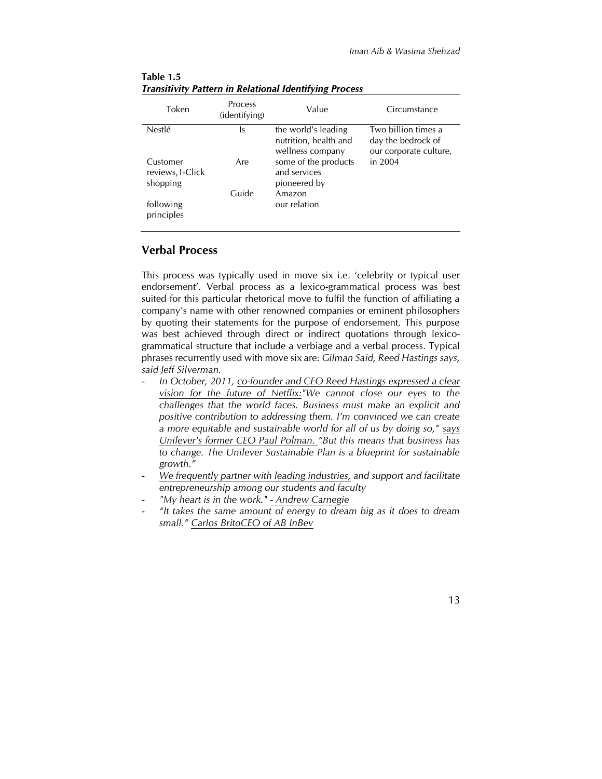| Token                                    | <b>Process</b><br>(identifying) | Value                                                            | Circumstance                                                        |
|------------------------------------------|---------------------------------|------------------------------------------------------------------|---------------------------------------------------------------------|
| <b>Nestlé</b>                            | ls                              | the world's leading<br>nutrition, health and<br>wellness company | Two billion times a<br>day the bedrock of<br>our corporate culture, |
| Customer<br>reviews, 1-Click<br>shopping | Are                             | some of the products<br>and services<br>pioneered by             | in $2004$                                                           |
| following<br>principles                  | Guide                           | Amazon<br>our relation                                           |                                                                     |

**Table 1.5** *Transitivity Pattern in Relational Identifying Process*

# **Verbal Process**

This process was typically used in move six i.e. 'celebrity or typical user endorsement'. Verbal process as a lexico-grammatical process was best suited for this particular rhetorical move to fulfil the function of affiliating a company's name with other renowned companies or eminent philosophers by quoting their statements for the purpose of endorsement. This purpose was best achieved through direct or indirect quotations through lexicogrammatical structure that include a verbiage and a verbal process. Typical phrases recurrently used with move six are: *Gilman Said, Reed Hastings says, said Jeff Silverman.* 

- *In October, 2011, co-founder and CEO Reed Hastings expressed a clear vision for the future of Netflix:"We cannot close our eyes to the challenges that the world faces. Business must make an explicit and positive contribution to addressing them. I'm convinced we can create a more equitable and sustainable world for all of us by doing so," says Unilever's former CEO Paul Polman. "But this means that business has to change. The Unilever Sustainable Plan is a blueprint for sustainable growth."*
- *We frequently partner with leading industries, and support and facilitate entrepreneurship among our students and faculty*
- *"My heart is in the work." - Andrew Carnegie*
- *"It takes the same amount of energy to dream big as it does to dream small." Carlos BritoCEO of AB InBev*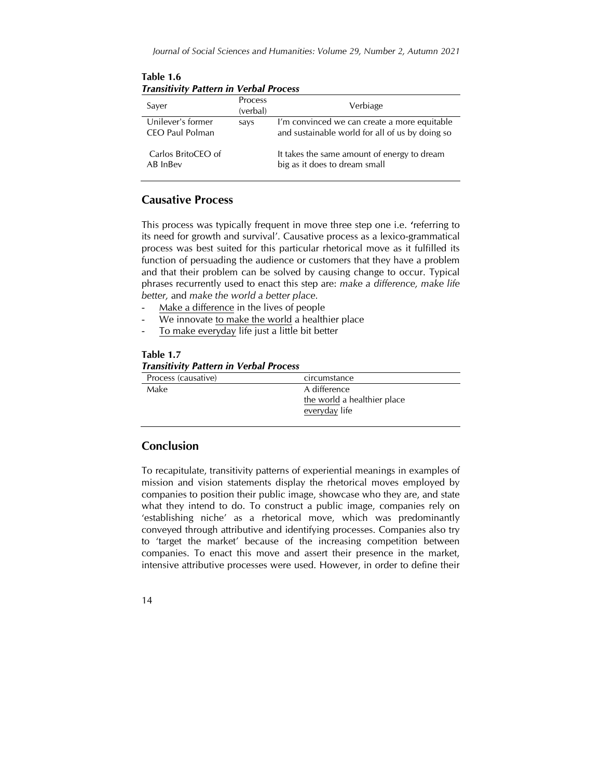| <i>Hansitrity Fattern in Verbal Hocess</i> |                            |                                                                                                 |  |  |
|--------------------------------------------|----------------------------|-------------------------------------------------------------------------------------------------|--|--|
| Saver                                      | <b>Process</b><br>(verbal) | Verbiage                                                                                        |  |  |
| Unilever's former<br>CEO Paul Polman       | says                       | I'm convinced we can create a more equitable<br>and sustainable world for all of us by doing so |  |  |
| Carlos BritoCEO of<br>AB InBev             |                            | It takes the same amount of energy to dream<br>big as it does to dream small                    |  |  |

**Table 1.6** *Transitivity Pattern in Verbal Process*

# **Causative Process**

This process was typically frequent in move three step one i.e. **'**referring to its need for growth and survival'. Causative process as a lexico-grammatical process was best suited for this particular rhetorical move as it fulfilled its function of persuading the audience or customers that they have a problem and that their problem can be solved by causing change to occur. Typical phrases recurrently used to enact this step are: *make a difference, make life better,* and *make the world a better place.*

- Make a difference in the lives of people
- We innovate to make the world a healthier place
- To make everyday life just a little bit better

#### **Table 1.7** *Transitivity Pattern in Verbal Process*

| Process (causative) | circumstance                |
|---------------------|-----------------------------|
| Make                | A difference                |
|                     | the world a healthier place |
|                     | everyday life               |
|                     |                             |

# **Conclusion**

To recapitulate, transitivity patterns of experiential meanings in examples of mission and vision statements display the rhetorical moves employed by companies to position their public image, showcase who they are, and state what they intend to do. To construct a public image, companies rely on 'establishing niche' as a rhetorical move, which was predominantly conveyed through attributive and identifying processes. Companies also try to 'target the market' because of the increasing competition between companies. To enact this move and assert their presence in the market, intensive attributive processes were used. However, in order to define their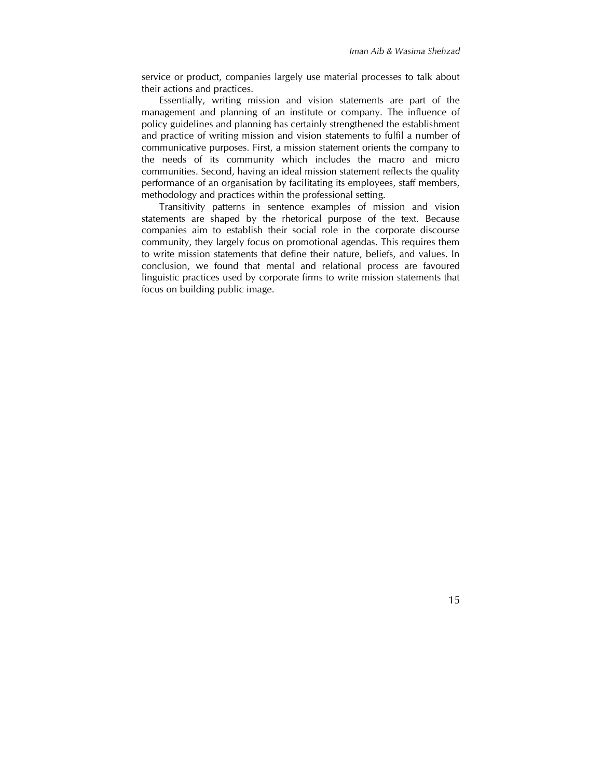service or product, companies largely use material processes to talk about their actions and practices.

Essentially, writing mission and vision statements are part of the management and planning of an institute or company. The influence of policy guidelines and planning has certainly strengthened the establishment and practice of writing mission and vision statements to fulfil a number of communicative purposes. First, a mission statement orients the company to the needs of its community which includes the macro and micro communities. Second, having an ideal mission statement reflects the quality performance of an organisation by facilitating its employees, staff members, methodology and practices within the professional setting.

Transitivity patterns in sentence examples of mission and vision statements are shaped by the rhetorical purpose of the text. Because companies aim to establish their social role in the corporate discourse community, they largely focus on promotional agendas. This requires them to write mission statements that define their nature, beliefs, and values. In conclusion, we found that mental and relational process are favoured linguistic practices used by corporate firms to write mission statements that focus on building public image.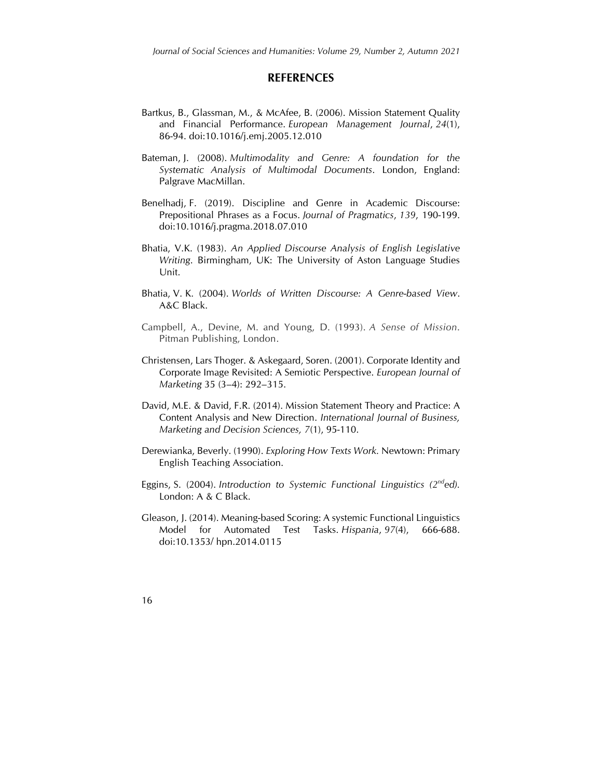#### **REFERENCES**

- Bartkus, B., Glassman, M., & McAfee, B. (2006). Mission Statement Quality and Financial Performance. *European Management Journal*, *24*(1), 86-94. doi:10.1016/j.emj.2005.12.010
- Bateman, J. (2008). *Multimodality and Genre: A foundation for the Systematic Analysis of Multimodal Documents*. London, England: Palgrave MacMillan.
- Benelhadj, F. (2019). Discipline and Genre in Academic Discourse: Prepositional Phrases as a Focus. *Journal of Pragmatics*, *139*, 190-199. doi:10.1016/j.pragma.2018.07.010
- Bhatia, V.K. (1983). *An Applied Discourse Analysis of English Legislative Writing*. Birmingham, UK: The University of Aston Language Studies Unit.
- Bhatia, V. K. (2004). *Worlds of Written Discourse: A Genre-based View*. A&C Black.
- Campbell, A., Devine, M. and Young, D. (1993). *A Sense of Mission*. Pitman Publishing, London.
- Christensen, Lars Thoger. & Askegaard, Soren. (2001). Corporate Identity and Corporate Image Revisited: A Semiotic Perspective. *European Journal of Marketing* 35 (3–4): 292–315.
- David, M.E. & David, F.R. (2014). Mission Statement Theory and Practice: A Content Analysis and New Direction. *International Journal of Business, Marketing and Decision Sciences, 7*(1), 95-110.
- Derewianka, Beverly. (1990). *Exploring How Texts Work.* Newtown: Primary English Teaching Association.
- Eggins, S. (2004). *Introduction to Systemic Functional Linguistics (2nded).* London: A & C Black.
- Gleason, J. (2014). Meaning-based Scoring: A systemic Functional Linguistics Model for Automated Test Tasks. *Hispania*, *97*(4), 666-688. doi:10.1353/ hpn.2014.0115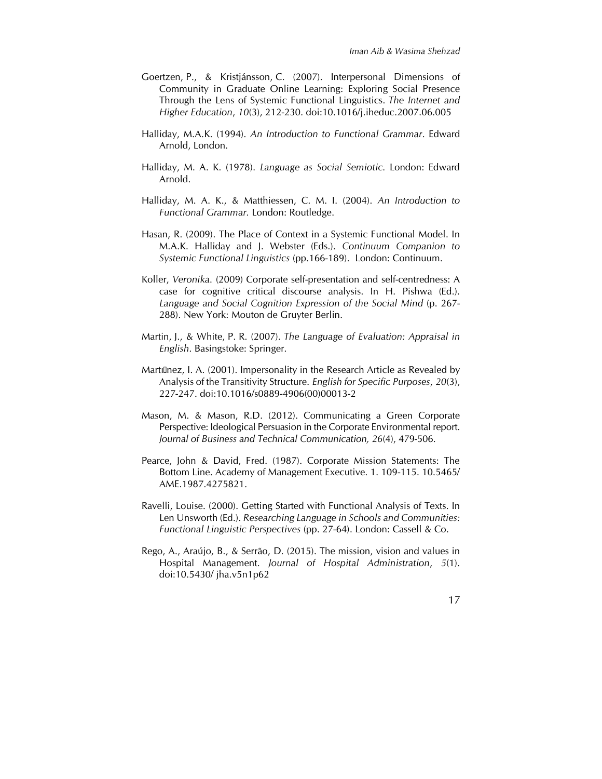- Goertzen, P., & Kristjánsson, C. (2007). Interpersonal Dimensions of Community in Graduate Online Learning: Exploring Social Presence Through the Lens of Systemic Functional Linguistics. *The Internet and Higher Education*, *10*(3), 212-230. doi:10.1016/j.iheduc.2007.06.005
- Halliday, M.A.K. (1994). *An Introduction to Functional Grammar*. Edward Arnold, London.
- Halliday, M. A. K. (1978). *Language as Social Semiotic.* London: Edward Arnold.
- Halliday, M. A. K., & Matthiessen, C. M. I. (2004). *An Introduction to Functional Grammar.* London: Routledge.
- Hasan, R. (2009). The Place of Context in a Systemic Functional Model. In M.A.K. Halliday and J. Webster (Eds.). *Continuum Companion to Systemic Functional Linguistics* (pp.166-189). London: Continuum.
- Koller, *Veronika.* (2009) Corporate self-presentation and self-centredness: A case for cognitive critical discourse analysis. In H. Pishwa (Ed.). *Language and Social Cognition Expression of the Social Mind* (p. 267- 288). New York: Mouton de Gruyter Berlin.
- Martin, J., & White, P. R. (2007). *The Language of Evaluation: Appraisal in English*. Basingstoke: Springer.
- Martı́nez, I. A. (2001). Impersonality in the Research Article as Revealed by Analysis of the Transitivity Structure. *English for Specific Purposes*, *20*(3), 227-247. doi:10.1016/s0889-4906(00)00013-2
- Mason, M. & Mason, R.D. (2012). Communicating a Green Corporate Perspective: Ideological Persuasion in the Corporate Environmental report. *Journal of Business and Technical Communication, 26*(4), 479-506.
- Pearce, John & David, Fred. (1987). Corporate Mission Statements: The Bottom Line. Academy of Management Executive. 1. 109-115. 10.5465/ AME.1987.4275821.
- Ravelli, Louise. (2000). Getting Started with Functional Analysis of Texts. In Len Unsworth (Ed.). *Researching Language in Schools and Communities: Functional Linguistic Perspectives* (pp. 27-64). London: Cassell & Co.
- Rego, A., Araújo, B., & Serrão, D. (2015). The mission, vision and values in Hospital Management. *Journal of Hospital Administration*, *5*(1). doi:10.5430/ jha.v5n1p62